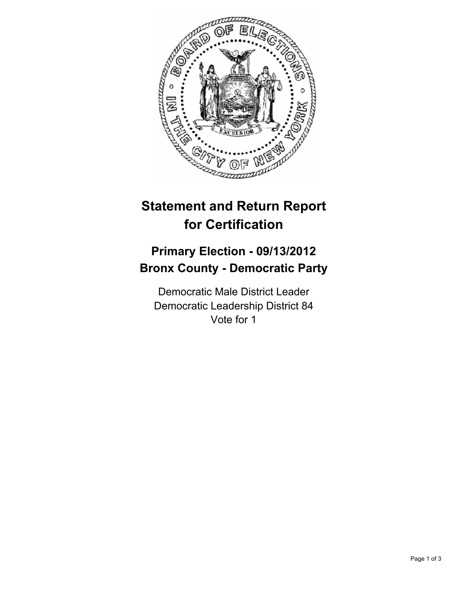

## **Statement and Return Report for Certification**

## **Primary Election - 09/13/2012 Bronx County - Democratic Party**

Democratic Male District Leader Democratic Leadership District 84 Vote for 1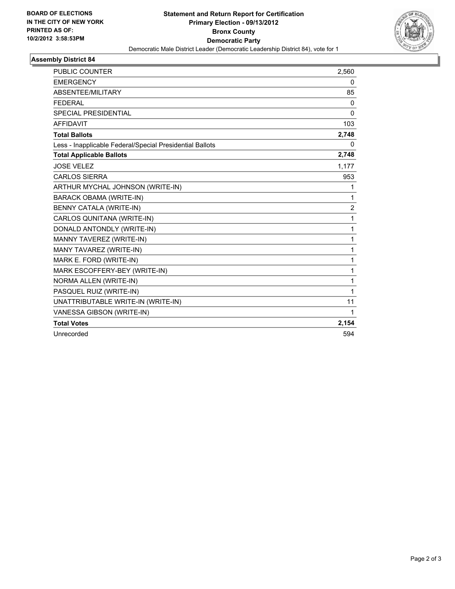

## **Assembly District 84**

| <b>PUBLIC COUNTER</b>                                    | 2,560          |
|----------------------------------------------------------|----------------|
| <b>EMERGENCY</b>                                         | 0              |
| ABSENTEE/MILITARY                                        | 85             |
| <b>FEDERAL</b>                                           | 0              |
| <b>SPECIAL PRESIDENTIAL</b>                              | 0              |
| <b>AFFIDAVIT</b>                                         | 103            |
| <b>Total Ballots</b>                                     | 2,748          |
| Less - Inapplicable Federal/Special Presidential Ballots | 0              |
| <b>Total Applicable Ballots</b>                          | 2,748          |
| <b>JOSE VELEZ</b>                                        | 1,177          |
| <b>CARLOS SIERRA</b>                                     | 953            |
| ARTHUR MYCHAL JOHNSON (WRITE-IN)                         | 1              |
| <b>BARACK OBAMA (WRITE-IN)</b>                           | 1              |
| BENNY CATALA (WRITE-IN)                                  | $\overline{2}$ |
| CARLOS QUNITANA (WRITE-IN)                               | 1              |
| DONALD ANTONDLY (WRITE-IN)                               | 1              |
| MANNY TAVEREZ (WRITE-IN)                                 | $\mathbf{1}$   |
| MANY TAVAREZ (WRITE-IN)                                  | 1              |
| MARK E. FORD (WRITE-IN)                                  | $\mathbf{1}$   |
| MARK ESCOFFERY-BEY (WRITE-IN)                            | $\mathbf{1}$   |
| NORMA ALLEN (WRITE-IN)                                   | 1              |
| PASQUEL RUIZ (WRITE-IN)                                  | 1              |
| UNATTRIBUTABLE WRITE-IN (WRITE-IN)                       | 11             |
| VANESSA GIBSON (WRITE-IN)                                | $\mathbf 1$    |
| <b>Total Votes</b>                                       | 2,154          |
| Unrecorded                                               | 594            |